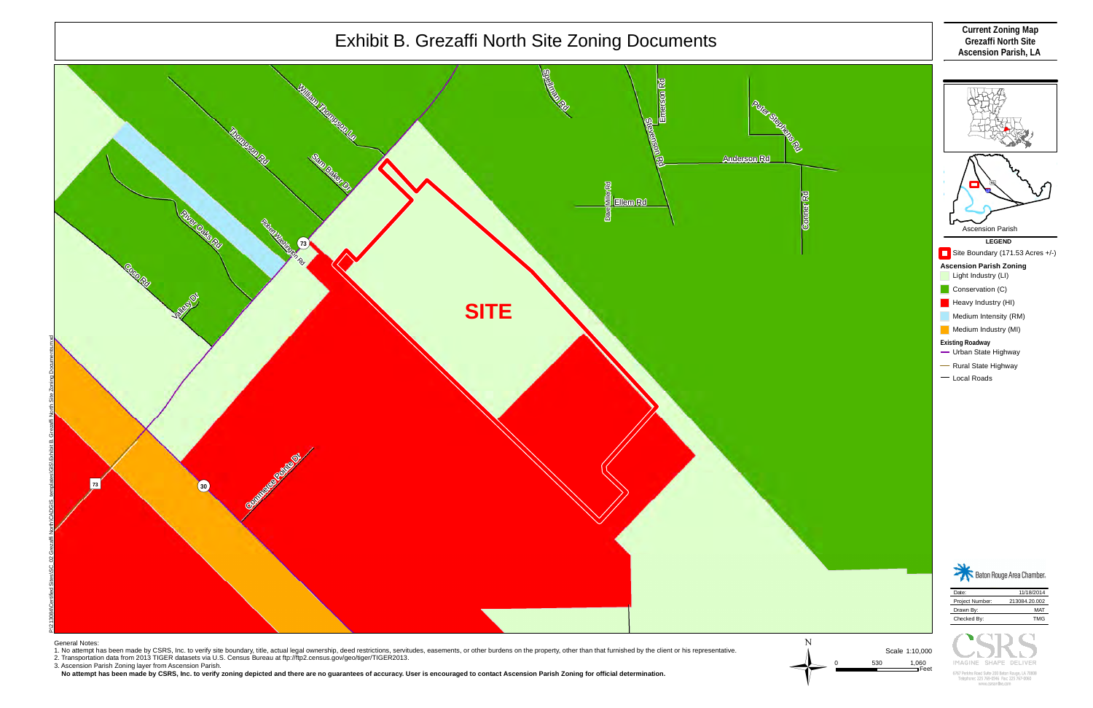

 **No attempt has been made by CSRS, Inc. to verify zoning depicted and there are no guarantees of accuracy. User is encouraged to contact Ascension Parish Zoning for official determination.**

| Date:           | 11/18/2014    |
|-----------------|---------------|
| Project Number: | 213084.20.002 |
| Drawn By:       | MAT           |
| Checked By:     | <b>TMG</b>    |
|                 |               |

767 Perkins Road Suite 200 Baton Rouge, LA 7080 alanhona: 225 760-0546 Fav: 225 767-0060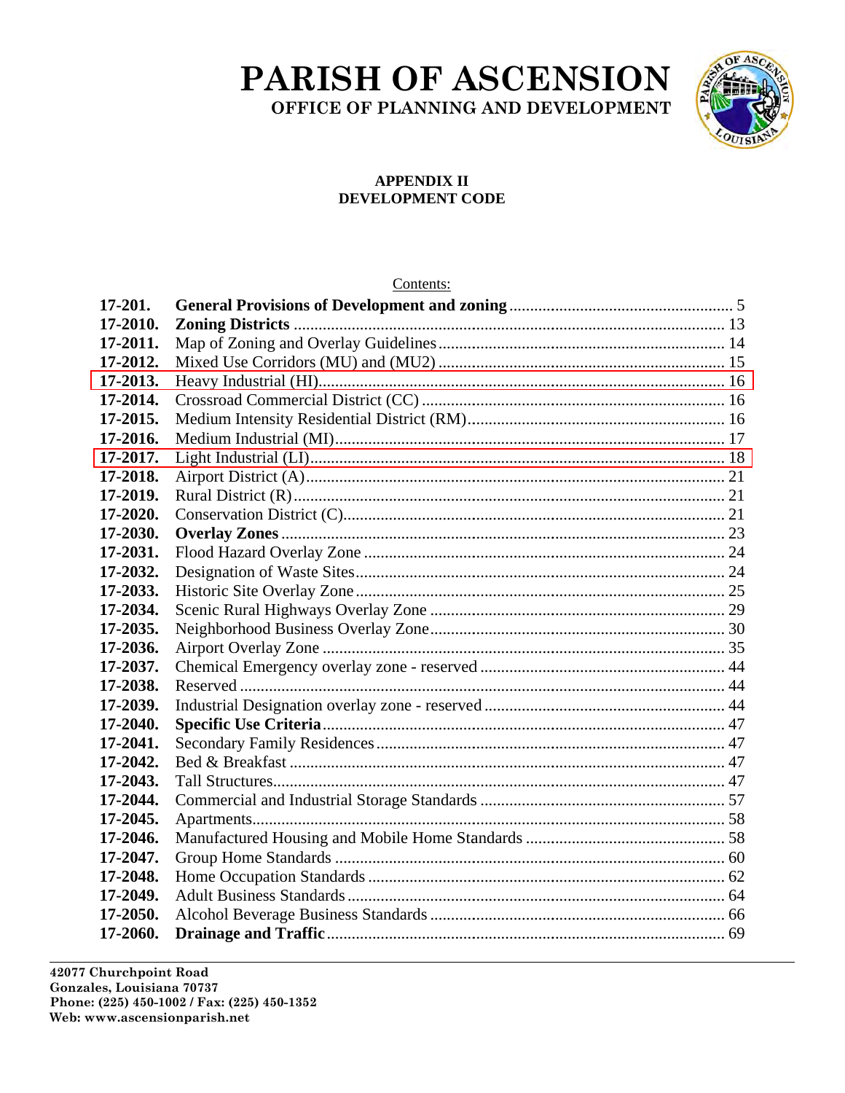# PARISH OF ASCENSION

OFFICE OF PLANNING AND DEVELOPMENT



### **APPENDIX II** DEVELOPMENT CODE

## Contents:

| 17-201.  |  |
|----------|--|
| 17-2010. |  |
| 17-2011. |  |
| 17-2012. |  |
| 17-2013. |  |
| 17-2014. |  |
| 17-2015. |  |
| 17-2016. |  |
| 17-2017. |  |
| 17-2018. |  |
| 17-2019. |  |
| 17-2020. |  |
| 17-2030. |  |
| 17-2031. |  |
| 17-2032. |  |
| 17-2033. |  |
| 17-2034. |  |
| 17-2035. |  |
| 17-2036. |  |
| 17-2037. |  |
| 17-2038. |  |
| 17-2039. |  |
| 17-2040. |  |
| 17-2041. |  |
| 17-2042. |  |
| 17-2043. |  |
| 17-2044. |  |
| 17-2045. |  |
| 17-2046. |  |
| 17-2047. |  |
| 17-2048. |  |
| 17-2049. |  |
| 17-2050. |  |
| 17-2060. |  |

42077 Churchpoint Road Gonzales, Louisiana 70737 Phone: (225) 450-1002 / Fax: (225) 450-1352 Web: www.ascensionparish.net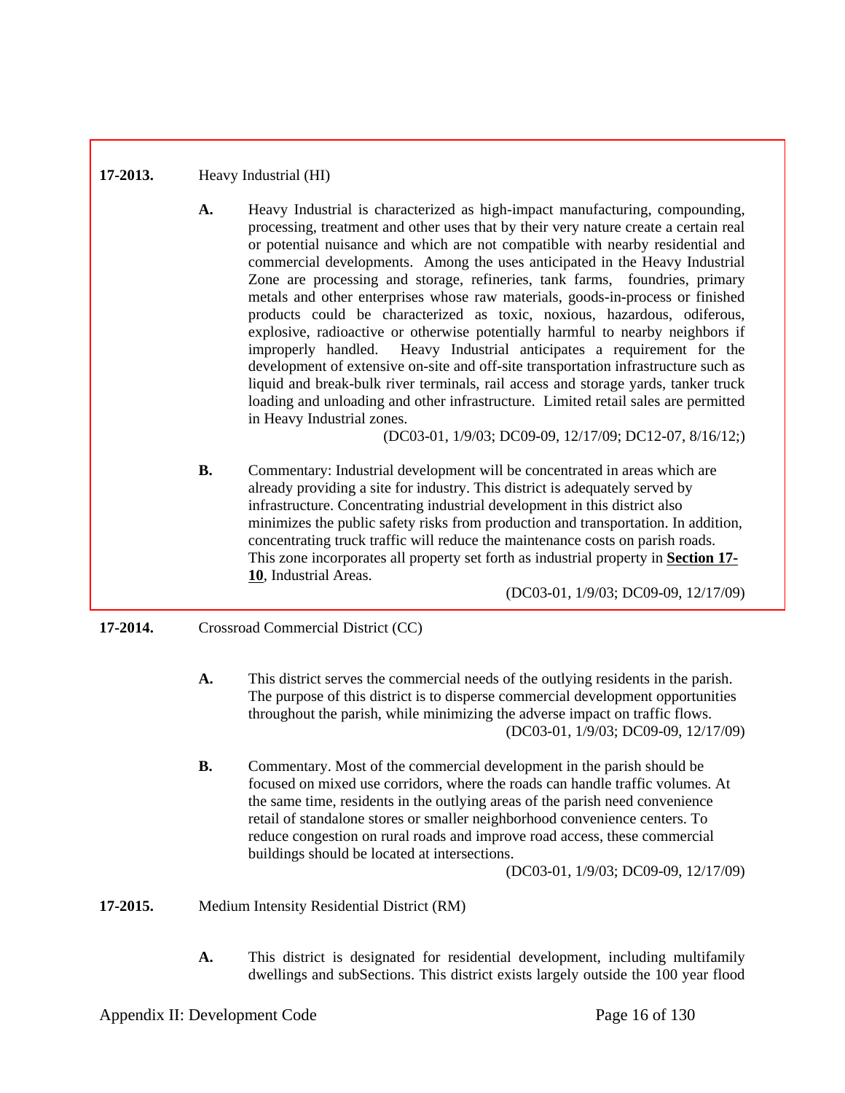# **17-2013.** Heavy Industrial (HI)

**A.** Heavy Industrial is characterized as high-impact manufacturing, compounding, processing, treatment and other uses that by their very nature create a certain real or potential nuisance and which are not compatible with nearby residential and commercial developments. Among the uses anticipated in the Heavy Industrial Zone are processing and storage, refineries, tank farms, foundries, primary metals and other enterprises whose raw materials, goods-in-process or finished products could be characterized as toxic, noxious, hazardous, odiferous, explosive, radioactive or otherwise potentially harmful to nearby neighbors if improperly handled. Heavy Industrial anticipates a requirement for the development of extensive on-site and off-site transportation infrastructure such as liquid and break-bulk river terminals, rail access and storage yards, tanker truck loading and unloading and other infrastructure. Limited retail sales are permitted in Heavy Industrial zones.

(DC03-01, 1/9/03; DC09-09, 12/17/09; DC12-07, 8/16/12;)

**B.** Commentary: Industrial development will be concentrated in areas which are already providing a site for industry. This district is adequately served by infrastructure. Concentrating industrial development in this district also minimizes the public safety risks from production and transportation. In addition, concentrating truck traffic will reduce the maintenance costs on parish roads. This zone incorporates all property set forth as industrial property in **Section 17- 10**, Industrial Areas.

(DC03-01, 1/9/03; DC09-09, 12/17/09)

### **17-2014.** Crossroad Commercial District (CC)

- **A.** This district serves the commercial needs of the outlying residents in the parish. The purpose of this district is to disperse commercial development opportunities throughout the parish, while minimizing the adverse impact on traffic flows. (DC03-01, 1/9/03; DC09-09, 12/17/09)
- **B.** Commentary. Most of the commercial development in the parish should be focused on mixed use corridors, where the roads can handle traffic volumes. At the same time, residents in the outlying areas of the parish need convenience retail of standalone stores or smaller neighborhood convenience centers. To reduce congestion on rural roads and improve road access, these commercial buildings should be located at intersections.

(DC03-01, 1/9/03; DC09-09, 12/17/09)

**17-2015.** Medium Intensity Residential District (RM)

**A.** This district is designated for residential development, including multifamily dwellings and subSections. This district exists largely outside the 100 year flood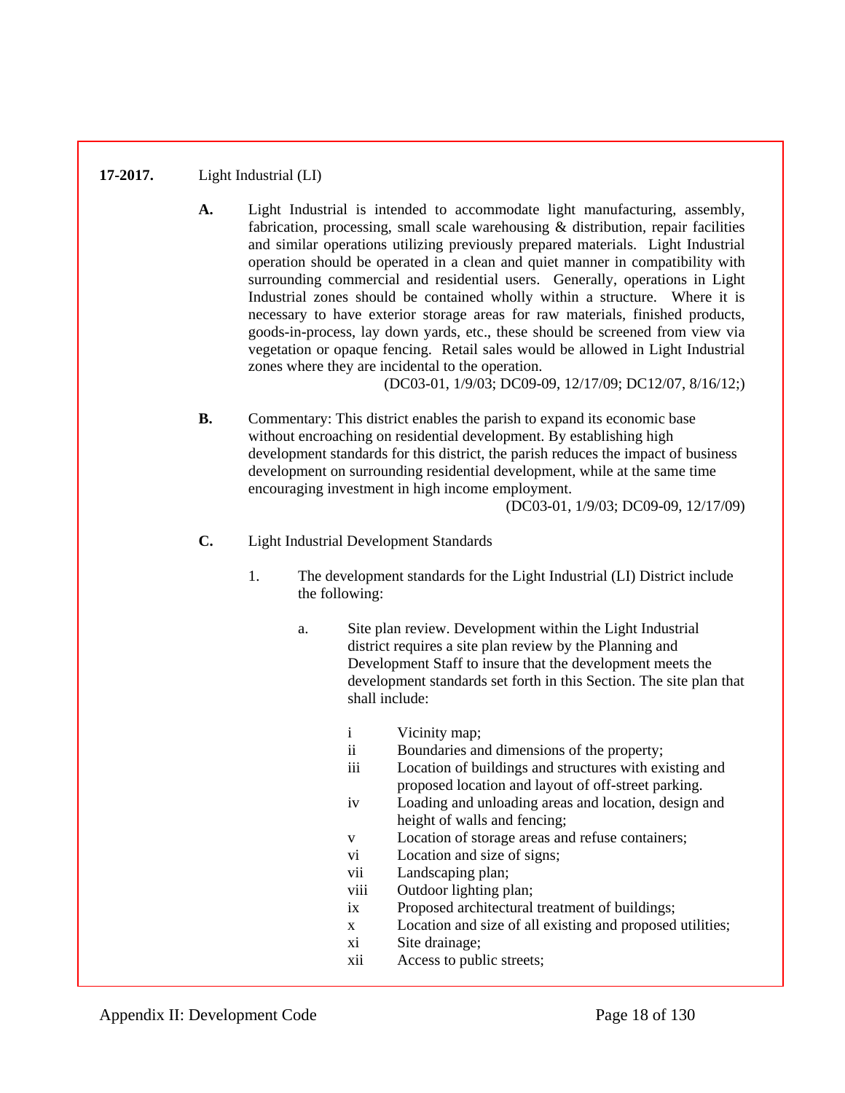# **17-2017.** Light Industrial (LI)

**A.** Light Industrial is intended to accommodate light manufacturing, assembly, fabrication, processing, small scale warehousing  $\&$  distribution, repair facilities and similar operations utilizing previously prepared materials. Light Industrial operation should be operated in a clean and quiet manner in compatibility with surrounding commercial and residential users. Generally, operations in Light Industrial zones should be contained wholly within a structure. Where it is necessary to have exterior storage areas for raw materials, finished products, goods-in-process, lay down yards, etc., these should be screened from view via vegetation or opaque fencing. Retail sales would be allowed in Light Industrial zones where they are incidental to the operation.

(DC03-01, 1/9/03; DC09-09, 12/17/09; DC12/07, 8/16/12;)

**B.** Commentary: This district enables the parish to expand its economic base without encroaching on residential development. By establishing high development standards for this district, the parish reduces the impact of business development on surrounding residential development, while at the same time encouraging investment in high income employment.

(DC03-01, 1/9/03; DC09-09, 12/17/09)

#### **C.** Light Industrial Development Standards

- 1. The development standards for the Light Industrial (LI) District include the following:
	- a. Site plan review. Development within the Light Industrial district requires a site plan review by the Planning and Development Staff to insure that the development meets the development standards set forth in this Section. The site plan that shall include:
		- i Vicinity map;
		- ii Boundaries and dimensions of the property;
		- iii Location of buildings and structures with existing and proposed location and layout of off-street parking.
		- iv Loading and unloading areas and location, design and height of walls and fencing;
		- v Location of storage areas and refuse containers;
		- vi Location and size of signs;
		- vii Landscaping plan;
		- viii Outdoor lighting plan;
		- ix Proposed architectural treatment of buildings;
		- x Location and size of all existing and proposed utilities;
		- xi Site drainage;
		- xii Access to public streets;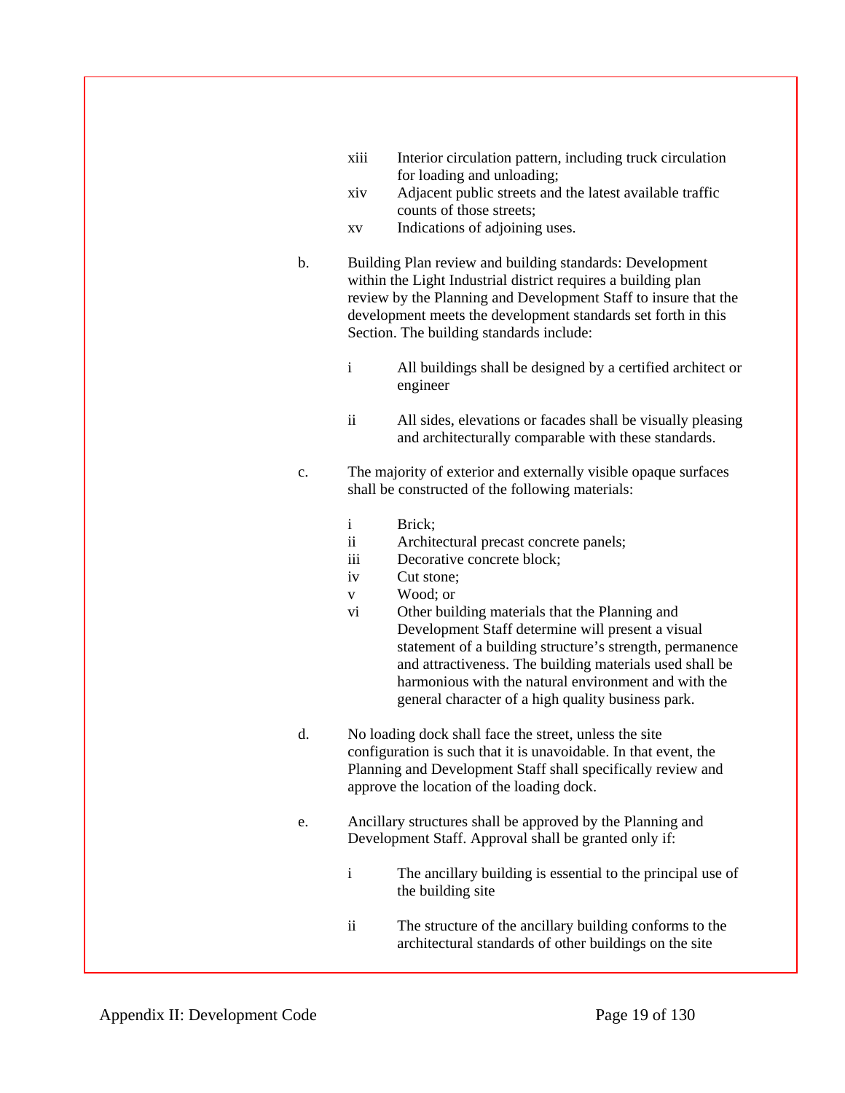- xiii Interior circulation pattern, including truck circulation for loading and unloading;
- xiv Adjacent public streets and the latest available traffic counts of those streets;
- xv Indications of adjoining uses.
- b. Building Plan review and building standards: Development within the Light Industrial district requires a building plan review by the Planning and Development Staff to insure that the development meets the development standards set forth in this Section. The building standards include:
	- i All buildings shall be designed by a certified architect or engineer
	- ii All sides, elevations or facades shall be visually pleasing and architecturally comparable with these standards.
- c. The majority of exterior and externally visible opaque surfaces shall be constructed of the following materials:
	- i Brick;
	- ii Architectural precast concrete panels;
	- iii Decorative concrete block;
	- iv Cut stone;
	- v Wood; or
	- vi Other building materials that the Planning and Development Staff determine will present a visual statement of a building structure's strength, permanence and attractiveness. The building materials used shall be harmonious with the natural environment and with the general character of a high quality business park.
- d. No loading dock shall face the street, unless the site configuration is such that it is unavoidable. In that event, the Planning and Development Staff shall specifically review and approve the location of the loading dock.
- e. Ancillary structures shall be approved by the Planning and Development Staff. Approval shall be granted only if:
	- i The ancillary building is essential to the principal use of the building site
	- ii The structure of the ancillary building conforms to the architectural standards of other buildings on the site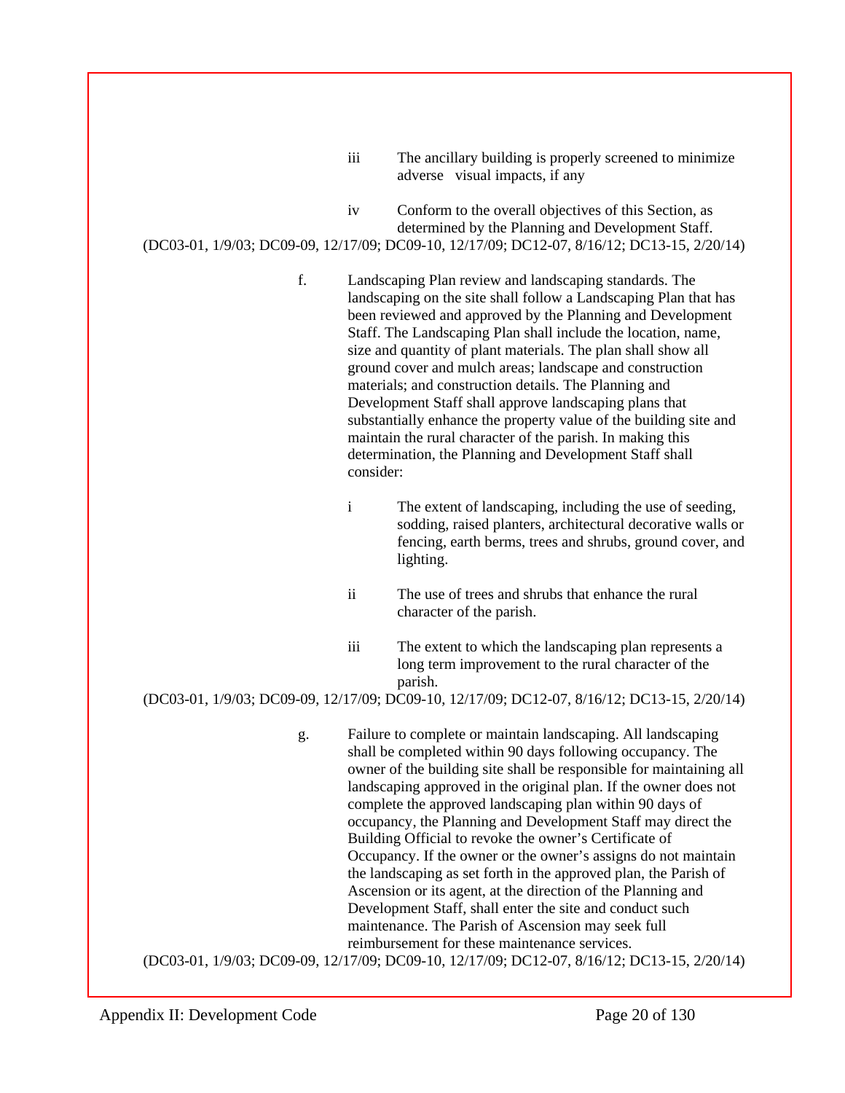| $\cdots$<br>111 | The ancillary building is properly screened to minimize |
|-----------------|---------------------------------------------------------|
|                 | adverse visual impacts, if any                          |

iv Conform to the overall objectives of this Section, as determined by the Planning and Development Staff.

(DC03-01, 1/9/03; DC09-09, 12/17/09; DC09-10, 12/17/09; DC12-07, 8/16/12; DC13-15, 2/20/14)

f. Landscaping Plan review and landscaping standards. The landscaping on the site shall follow a Landscaping Plan that has been reviewed and approved by the Planning and Development Staff. The Landscaping Plan shall include the location, name, size and quantity of plant materials. The plan shall show all ground cover and mulch areas; landscape and construction materials; and construction details. The Planning and Development Staff shall approve landscaping plans that substantially enhance the property value of the building site and maintain the rural character of the parish. In making this determination, the Planning and Development Staff shall consider:

> i The extent of landscaping, including the use of seeding, sodding, raised planters, architectural decorative walls or fencing, earth berms, trees and shrubs, ground cover, and lighting.

- ii The use of trees and shrubs that enhance the rural character of the parish.
- iii The extent to which the landscaping plan represents a long term improvement to the rural character of the parish.

(DC03-01, 1/9/03; DC09-09, 12/17/09; DC09-10, 12/17/09; DC12-07, 8/16/12; DC13-15, 2/20/14)

g. Failure to complete or maintain landscaping. All landscaping shall be completed within 90 days following occupancy. The owner of the building site shall be responsible for maintaining all landscaping approved in the original plan. If the owner does not complete the approved landscaping plan within 90 days of occupancy, the Planning and Development Staff may direct the Building Official to revoke the owner's Certificate of Occupancy. If the owner or the owner's assigns do not maintain the landscaping as set forth in the approved plan, the Parish of Ascension or its agent, at the direction of the Planning and Development Staff, shall enter the site and conduct such maintenance. The Parish of Ascension may seek full reimbursement for these maintenance services.

(DC03-01, 1/9/03; DC09-09, 12/17/09; DC09-10, 12/17/09; DC12-07, 8/16/12; DC13-15, 2/20/14)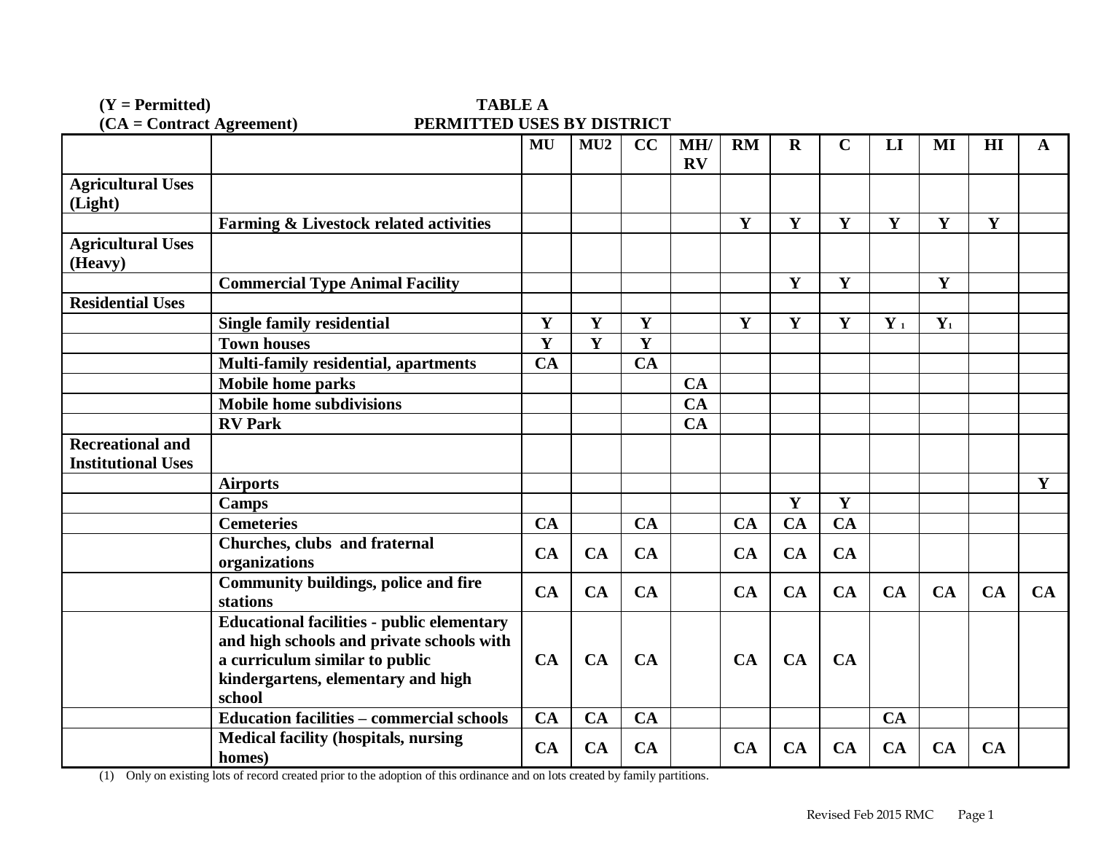(Y = Permitted) TABLE A<br>
(CA = Contract Agreement) **TABLE A**<br>
PERMITTED USES **PERMITTED USES BY DISTRICT** 

|                                     |                                                                                                                                                                                  | MU          | MU2       | CC        | MH/<br>$\mathbf{R}\mathbf{V}$ | <b>RM</b>   | $\mathbf R$            | $\mathbf C$     | LI           | MI           | HI | $\mathbf A$ |
|-------------------------------------|----------------------------------------------------------------------------------------------------------------------------------------------------------------------------------|-------------|-----------|-----------|-------------------------------|-------------|------------------------|-----------------|--------------|--------------|----|-------------|
| <b>Agricultural Uses</b><br>(Light) |                                                                                                                                                                                  |             |           |           |                               |             |                        |                 |              |              |    |             |
|                                     | Farming & Livestock related activities                                                                                                                                           |             |           |           |                               | Y           | $\mathbf Y$            | $\mathbf Y$     | $\mathbf{Y}$ | Y            | Y  |             |
| <b>Agricultural Uses</b><br>(Heavy) |                                                                                                                                                                                  |             |           |           |                               |             |                        |                 |              |              |    |             |
|                                     | <b>Commercial Type Animal Facility</b>                                                                                                                                           |             |           |           |                               |             | Y                      | $\mathbf{Y}$    |              | $\mathbf{Y}$ |    |             |
| <b>Residential Uses</b>             |                                                                                                                                                                                  |             |           |           |                               |             |                        |                 |              |              |    |             |
|                                     | <b>Single family residential</b>                                                                                                                                                 | $\mathbf Y$ | Y         | Y         |                               | $\mathbf Y$ | Y                      | $\mathbf Y$     | $Y_1$        | $Y_1$        |    |             |
|                                     | <b>Town houses</b>                                                                                                                                                               | Y           | Y         | Y         |                               |             |                        |                 |              |              |    |             |
|                                     | <b>Multi-family residential, apartments</b>                                                                                                                                      | <b>CA</b>   |           | CA        |                               |             |                        |                 |              |              |    |             |
|                                     | <b>Mobile home parks</b>                                                                                                                                                         |             |           |           | <b>CA</b>                     |             |                        |                 |              |              |    |             |
|                                     | <b>Mobile home subdivisions</b>                                                                                                                                                  |             |           |           | CA                            |             |                        |                 |              |              |    |             |
|                                     | <b>RV Park</b>                                                                                                                                                                   |             |           |           | <b>CA</b>                     |             |                        |                 |              |              |    |             |
| <b>Recreational and</b>             |                                                                                                                                                                                  |             |           |           |                               |             |                        |                 |              |              |    |             |
| <b>Institutional Uses</b>           |                                                                                                                                                                                  |             |           |           |                               |             |                        |                 |              |              |    |             |
|                                     | <b>Airports</b>                                                                                                                                                                  |             |           |           |                               |             |                        |                 |              |              |    | $\mathbf Y$ |
|                                     | <b>Camps</b>                                                                                                                                                                     |             |           |           |                               |             | Y                      | $\mathbf Y$     |              |              |    |             |
|                                     | <b>Cemeteries</b>                                                                                                                                                                | CA          |           | CA        |                               | <b>CA</b>   | $\overline{\text{CA}}$ | $\overline{CA}$ |              |              |    |             |
|                                     | Churches, clubs and fraternal<br>organizations                                                                                                                                   | CA          | <b>CA</b> | CA        |                               | CA          | <b>CA</b>              | <b>CA</b>       |              |              |    |             |
|                                     | <b>Community buildings, police and fire</b><br>stations                                                                                                                          | CA          | <b>CA</b> | CA        |                               | CA          | <b>CA</b>              | <b>CA</b>       | CA           | CA           | CA | CA          |
|                                     | <b>Educational facilities - public elementary</b><br>and high schools and private schools with<br>a curriculum similar to public<br>kindergartens, elementary and high<br>school | CA          | <b>CA</b> | <b>CA</b> |                               | <b>CA</b>   | <b>CA</b>              | <b>CA</b>       |              |              |    |             |
|                                     | <b>Education facilities - commercial schools</b>                                                                                                                                 | CA          | CA        | CA        |                               |             |                        |                 | CA           |              |    |             |
|                                     | <b>Medical facility (hospitals, nursing</b><br>homes)                                                                                                                            | CA          | CA        | CA        |                               | CA          | <b>CA</b>              | CA              | <b>CA</b>    | <b>CA</b>    | CA |             |

(1) Only on existing lots of record created prior to the adoption of this ordinance and on lots created by family partitions.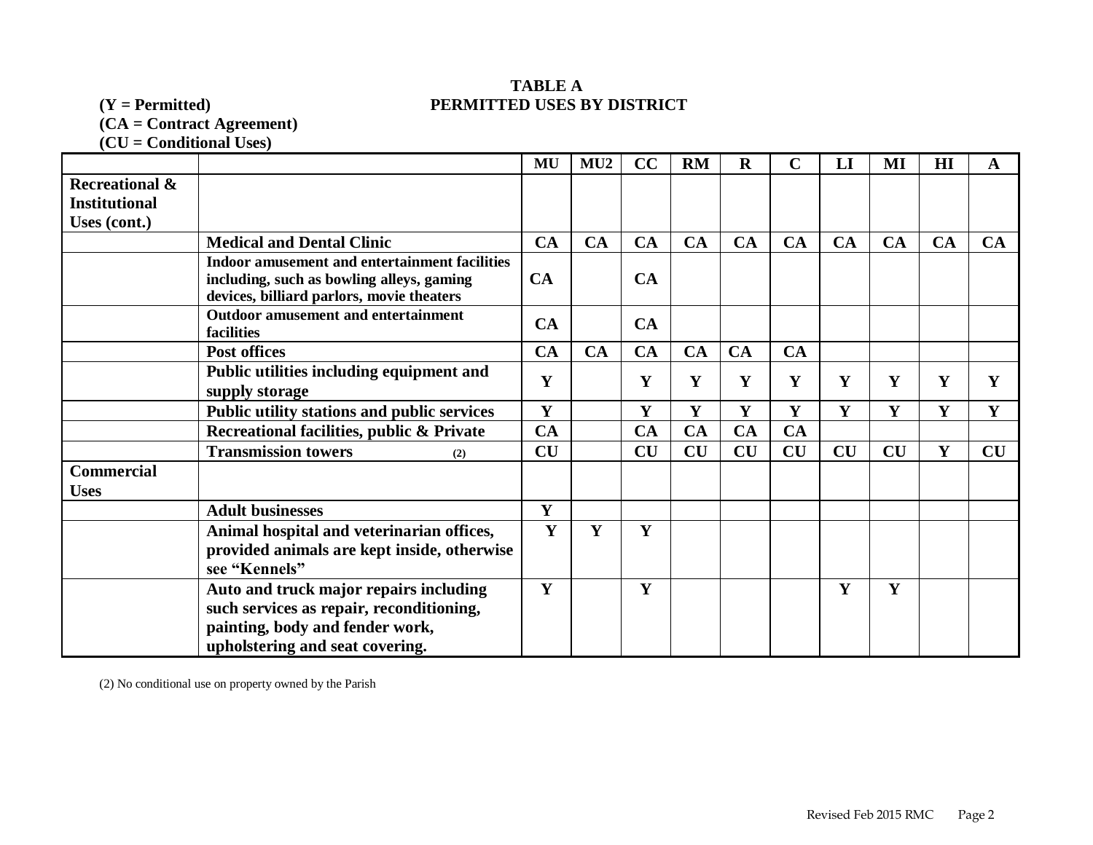# **TABLE A (Y = Permitted) PERMITTED USES BY DISTRICT**

**(CA = Contract Agreement)**

**(CU = Conditional Uses)** 

|                           |                                                                                        | MU           | MU2 | CC        | <b>RM</b> | $\mathbf R$ | $\mathbf C$ | LI          | MI | H1           | A  |
|---------------------------|----------------------------------------------------------------------------------------|--------------|-----|-----------|-----------|-------------|-------------|-------------|----|--------------|----|
| <b>Recreational &amp;</b> |                                                                                        |              |     |           |           |             |             |             |    |              |    |
| <b>Institutional</b>      |                                                                                        |              |     |           |           |             |             |             |    |              |    |
| Uses (cont.)              |                                                                                        |              |     |           |           |             |             |             |    |              |    |
|                           | <b>Medical and Dental Clinic</b>                                                       | CA           | CA  | CA        | CA        | CA          | CA          | <b>CA</b>   | CA | CA           | CA |
|                           | Indoor amusement and entertainment facilities                                          |              |     |           |           |             |             |             |    |              |    |
|                           | including, such as bowling alleys, gaming<br>devices, billiard parlors, movie theaters | <b>CA</b>    |     | CA        |           |             |             |             |    |              |    |
|                           | <b>Outdoor amusement and entertainment</b><br>facilities                               | CA           |     | CA        |           |             |             |             |    |              |    |
|                           | <b>Post offices</b>                                                                    | CA           | CA  | CA        | CA        | CA          | CA          |             |    |              |    |
|                           | Public utilities including equipment and<br>supply storage                             | Y            |     | Y         | Y         | Y           | Y           | $\mathbf Y$ | Y  | Y            | Y  |
|                           | Public utility stations and public services                                            | $\mathbf{Y}$ |     | Y         | Y         | Y           | Y           | Y           | Y  | $\mathbf{Y}$ | Y  |
|                           | Recreational facilities, public & Private                                              | CA           |     | <b>CA</b> | CA        | <b>CA</b>   | <b>CA</b>   |             |    |              |    |
|                           | <b>Transmission towers</b><br>(2)                                                      | CU           |     | CU        | CU        | CU          | CU          | <b>CU</b>   | CU | Y            | CU |
| <b>Commercial</b>         |                                                                                        |              |     |           |           |             |             |             |    |              |    |
| <b>Uses</b>               |                                                                                        |              |     |           |           |             |             |             |    |              |    |
|                           | <b>Adult businesses</b>                                                                | $\mathbf{Y}$ |     |           |           |             |             |             |    |              |    |
|                           | Animal hospital and veterinarian offices,                                              | Y            | Y   | Y         |           |             |             |             |    |              |    |
|                           | provided animals are kept inside, otherwise                                            |              |     |           |           |             |             |             |    |              |    |
|                           | see "Kennels"                                                                          |              |     |           |           |             |             |             |    |              |    |
|                           | Auto and truck major repairs including                                                 | Y            |     | Y         |           |             |             | Y           | Y  |              |    |
|                           | such services as repair, reconditioning,                                               |              |     |           |           |             |             |             |    |              |    |
|                           | painting, body and fender work,                                                        |              |     |           |           |             |             |             |    |              |    |
|                           | upholstering and seat covering.                                                        |              |     |           |           |             |             |             |    |              |    |

(2) No conditional use on property owned by the Parish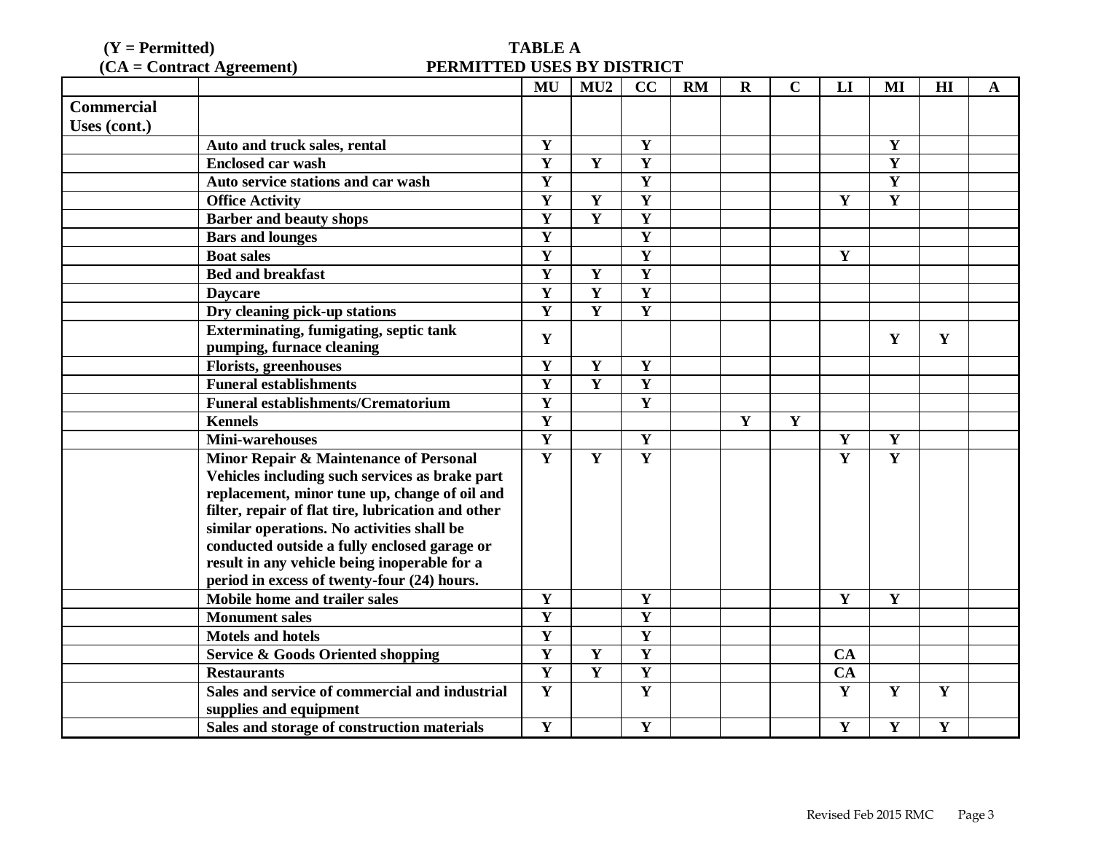(**Y** = Permitted) TABLE A<br>(**CA** = Contract Agreement) PERMITTED USES B **PERMITTED USES BY DISTRICT** 

|                   |                                                                              | MU                                                 | MU2                     | CC                      | <b>RM</b> | $\mathbf R$ | C           | LI           | MI                      | HI           | A |
|-------------------|------------------------------------------------------------------------------|----------------------------------------------------|-------------------------|-------------------------|-----------|-------------|-------------|--------------|-------------------------|--------------|---|
| <b>Commercial</b> |                                                                              |                                                    |                         |                         |           |             |             |              |                         |              |   |
| Uses (cont.)      |                                                                              |                                                    |                         |                         |           |             |             |              |                         |              |   |
|                   | Auto and truck sales, rental                                                 | Y                                                  |                         | Y                       |           |             |             |              | Y                       |              |   |
|                   | <b>Enclosed car wash</b>                                                     | Y                                                  | $\mathbf Y$             | Y                       |           |             |             |              | $\mathbf Y$             |              |   |
|                   | Auto service stations and car wash                                           | Y                                                  |                         | Y                       |           |             |             |              | Y                       |              |   |
|                   | <b>Office Activity</b>                                                       | $\overline{\mathbf{Y}}$                            | $\mathbf{Y}$            | $\overline{\mathbf{Y}}$ |           |             |             | Y            | $\overline{\mathbf{Y}}$ |              |   |
|                   | <b>Barber and beauty shops</b>                                               | $\overline{\mathbf{Y}}$                            | Y                       | Y                       |           |             |             |              |                         |              |   |
|                   | <b>Bars and lounges</b>                                                      | $\overline{\mathbf{Y}}$                            |                         | $\mathbf Y$             |           |             |             |              |                         |              |   |
|                   | <b>Boat sales</b>                                                            | $\mathbf Y$                                        |                         | Y                       |           |             |             | Y            |                         |              |   |
|                   | <b>Bed and breakfast</b>                                                     | $\overline{\mathbf{Y}}$                            | Y                       | $\overline{\mathbf{Y}}$ |           |             |             |              |                         |              |   |
|                   | <b>Daycare</b>                                                               | $\overline{\mathbf{Y}}$                            | $\overline{\mathbf{Y}}$ | $\overline{\mathbf{Y}}$ |           |             |             |              |                         |              |   |
|                   | Dry cleaning pick-up stations                                                | $\overline{\mathbf{Y}}$                            | Y                       | $\overline{\mathbf{Y}}$ |           |             |             |              |                         |              |   |
|                   | <b>Exterminating, fumigating, septic tank</b>                                | Y                                                  |                         |                         |           |             |             |              | Y                       | Y            |   |
|                   | pumping, furnace cleaning                                                    |                                                    |                         |                         |           |             |             |              |                         |              |   |
|                   | <b>Florists, greenhouses</b>                                                 | Y                                                  | $\mathbf Y$             | $\mathbf Y$             |           |             |             |              |                         |              |   |
|                   | <b>Funeral establishments</b>                                                | $\overline{\mathbf{Y}}$                            | $\overline{\mathbf{Y}}$ | $\overline{\mathbf{Y}}$ |           |             |             |              |                         |              |   |
|                   | <b>Funeral establishments/Crematorium</b>                                    | Y                                                  |                         | $\overline{\mathbf{Y}}$ |           |             |             |              |                         |              |   |
|                   | <b>Kennels</b>                                                               | Y                                                  |                         |                         |           | Y           | $\mathbf Y$ |              |                         |              |   |
|                   | <b>Mini-warehouses</b>                                                       | $\overline{\mathbf{Y}}$                            |                         | Y                       |           |             |             | Y            | $\mathbf Y$             |              |   |
|                   | Minor Repair & Maintenance of Personal                                       | $\overline{\mathbf{Y}}$                            | $\mathbf{Y}$            | $\overline{\mathbf{Y}}$ |           |             |             | Y            | Y                       |              |   |
|                   | Vehicles including such services as brake part                               |                                                    |                         |                         |           |             |             |              |                         |              |   |
|                   | replacement, minor tune up, change of oil and                                |                                                    |                         |                         |           |             |             |              |                         |              |   |
|                   | filter, repair of flat tire, lubrication and other                           |                                                    |                         |                         |           |             |             |              |                         |              |   |
|                   | similar operations. No activities shall be                                   |                                                    |                         |                         |           |             |             |              |                         |              |   |
|                   | conducted outside a fully enclosed garage or                                 |                                                    |                         |                         |           |             |             |              |                         |              |   |
|                   | result in any vehicle being inoperable for a                                 |                                                    |                         |                         |           |             |             |              |                         |              |   |
|                   | period in excess of twenty-four (24) hours.<br>Mobile home and trailer sales |                                                    |                         |                         |           |             |             | Y            |                         |              |   |
|                   |                                                                              | Y                                                  |                         | Y                       |           |             |             |              | Y                       |              |   |
|                   | <b>Monument sales</b>                                                        | Y                                                  |                         | Y                       |           |             |             |              |                         |              |   |
|                   | <b>Motels and hotels</b>                                                     | Y<br>$\overline{\mathbf{Y}}$                       |                         | Y                       |           |             |             |              |                         |              |   |
|                   | <b>Service &amp; Goods Oriented shopping</b>                                 |                                                    | Y                       | $\overline{\mathbf{Y}}$ |           |             |             | <b>CA</b>    |                         |              |   |
|                   | <b>Restaurants</b>                                                           | $\overline{\mathbf{Y}}$<br>$\overline{\mathbf{Y}}$ | $\mathbf Y$             | Y<br>Y                  |           |             |             | CA           |                         |              |   |
|                   | Sales and service of commercial and industrial                               |                                                    |                         |                         |           |             |             | Y            | Y                       | Y            |   |
|                   | supplies and equipment                                                       | $\mathbf Y$                                        |                         | Y                       |           |             |             |              | Y                       | $\mathbf{Y}$ |   |
|                   | Sales and storage of construction materials                                  |                                                    |                         |                         |           |             |             | $\mathbf{Y}$ |                         |              |   |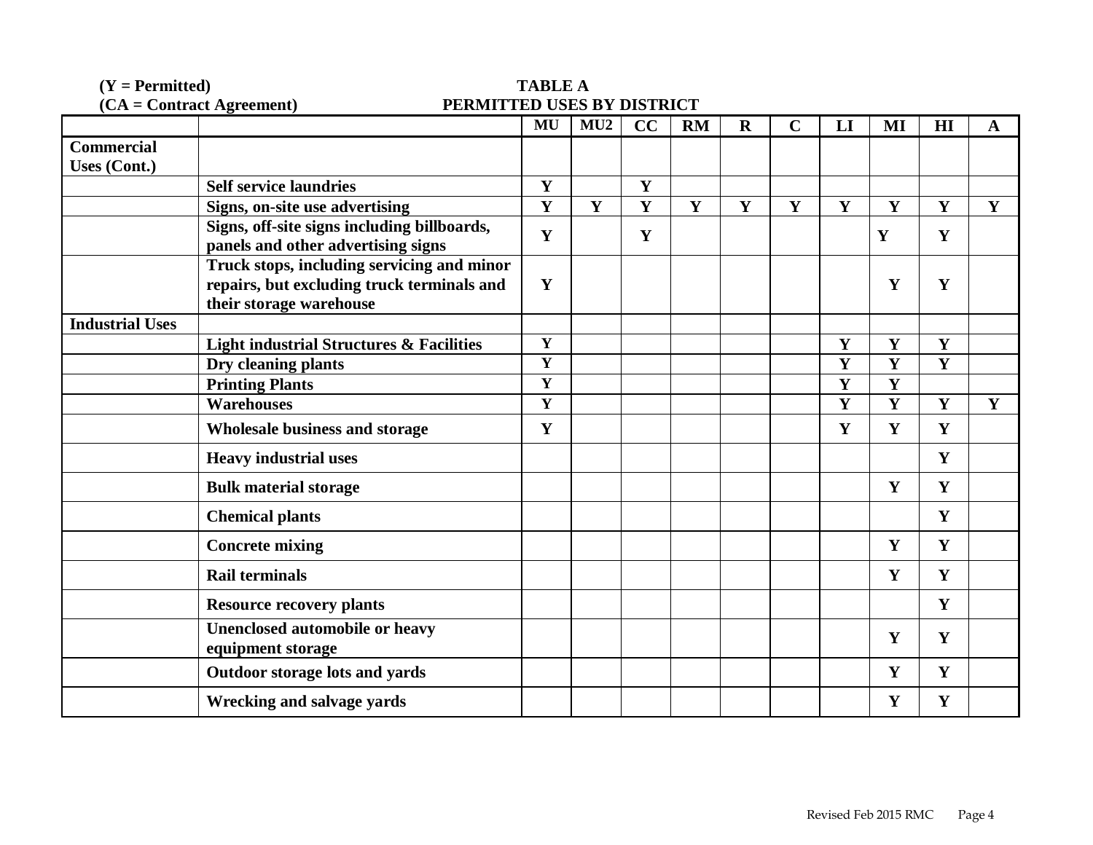| $(Y = Permitted)$      |                                                                   | <b>TABLE A</b>          |              |              |              |              |              |                         |                         |              |             |
|------------------------|-------------------------------------------------------------------|-------------------------|--------------|--------------|--------------|--------------|--------------|-------------------------|-------------------------|--------------|-------------|
|                        | $(CA = Contract \text{ Agreement})$<br>PERMITTED USES BY DISTRICT |                         |              |              |              |              |              |                         |                         |              |             |
|                        |                                                                   | MU                      | MU2          | CC           | <b>RM</b>    | $\mathbf R$  | $\mathbf C$  | LI                      | MI                      | H1           | $\mathbf A$ |
| <b>Commercial</b>      |                                                                   |                         |              |              |              |              |              |                         |                         |              |             |
| <b>Uses (Cont.)</b>    |                                                                   |                         |              |              |              |              |              |                         |                         |              |             |
|                        | <b>Self service laundries</b>                                     | $\mathbf{Y}$            |              | Y            |              |              |              |                         |                         |              |             |
|                        | Signs, on-site use advertising                                    | Y                       | $\mathbf{Y}$ | $\mathbf{Y}$ | $\mathbf{Y}$ | $\mathbf{Y}$ | $\mathbf{Y}$ | Y                       | $\mathbf{Y}$            | $\mathbf Y$  | Y           |
|                        | Signs, off-site signs including billboards,                       | Y                       |              | $\mathbf Y$  |              |              |              |                         | Y                       | $\mathbf Y$  |             |
|                        | panels and other advertising signs                                |                         |              |              |              |              |              |                         |                         |              |             |
|                        | Truck stops, including servicing and minor                        |                         |              |              |              |              |              |                         |                         |              |             |
|                        | repairs, but excluding truck terminals and                        | Y                       |              |              |              |              |              |                         | Y                       | Y            |             |
|                        | their storage warehouse                                           |                         |              |              |              |              |              |                         |                         |              |             |
| <b>Industrial Uses</b> |                                                                   |                         |              |              |              |              |              |                         |                         |              |             |
|                        | <b>Light industrial Structures &amp; Facilities</b>               | $\mathbf Y$             |              |              |              |              |              | $\mathbf Y$             | $\mathbf{Y}$            | $\mathbf{Y}$ |             |
|                        | Dry cleaning plants                                               | $\mathbf{Y}$            |              |              |              |              |              | Y                       | $\mathbf{Y}$            | $\mathbf Y$  |             |
|                        | <b>Printing Plants</b>                                            | $\overline{\mathbf{Y}}$ |              |              |              |              |              | $\mathbf{Y}$            | $\mathbf{Y}$            |              |             |
|                        | <b>Warehouses</b>                                                 | $\overline{\mathbf{Y}}$ |              |              |              |              |              | $\overline{\mathbf{Y}}$ | $\overline{\mathbf{Y}}$ | Y            | Y           |
|                        | <b>Wholesale business and storage</b>                             | Y                       |              |              |              |              |              | Y                       | $\mathbf{Y}$            | Y            |             |
|                        | <b>Heavy industrial uses</b>                                      |                         |              |              |              |              |              |                         |                         | Y            |             |
|                        | <b>Bulk material storage</b>                                      |                         |              |              |              |              |              |                         | Y                       | Y            |             |
|                        | <b>Chemical plants</b>                                            |                         |              |              |              |              |              |                         |                         | Y            |             |
|                        | <b>Concrete mixing</b>                                            |                         |              |              |              |              |              |                         | Y                       | $\mathbf{Y}$ |             |
|                        | <b>Rail terminals</b>                                             |                         |              |              |              |              |              |                         | Y                       | Y            |             |
|                        | <b>Resource recovery plants</b>                                   |                         |              |              |              |              |              |                         |                         | Y            |             |
|                        | Unenclosed automobile or heavy<br>equipment storage               |                         |              |              |              |              |              |                         | Y                       | Y            |             |
|                        | Outdoor storage lots and yards                                    |                         |              |              |              |              |              |                         | Y                       | Y            |             |
|                        | Wrecking and salvage yards                                        |                         |              |              |              |              |              |                         | Y                       | Y            |             |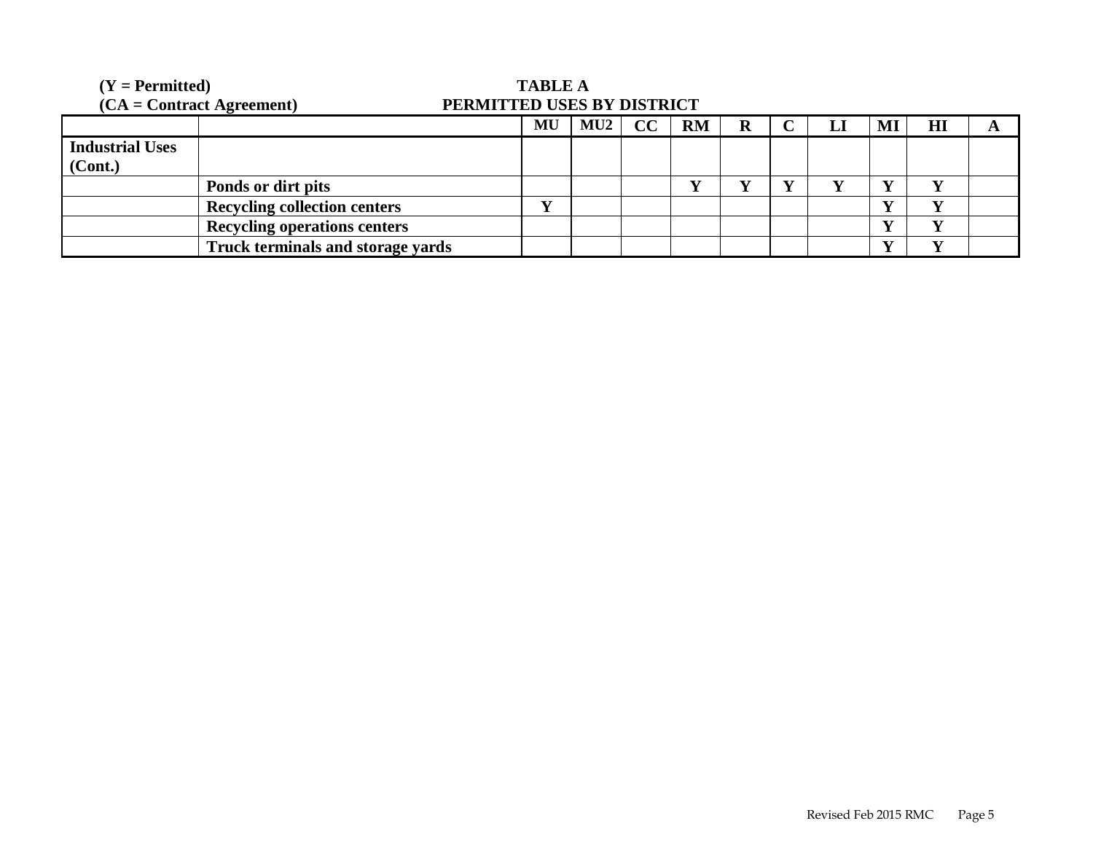| $(Y = Permitted)$      |                                     | <b>TABLE A</b>             |     |    |           |  |  |   |    |     |  |
|------------------------|-------------------------------------|----------------------------|-----|----|-----------|--|--|---|----|-----|--|
|                        | $(CA = Contract Agreement)$         | PERMITTED USES BY DISTRICT |     |    |           |  |  |   |    |     |  |
|                        |                                     | MU                         | MU2 | CC | <b>RM</b> |  |  | ы | Ml | HI  |  |
| <b>Industrial Uses</b> |                                     |                            |     |    |           |  |  |   |    |     |  |
| (Cont.)                |                                     |                            |     |    |           |  |  |   |    |     |  |
|                        | Ponds or dirt pits                  |                            |     |    |           |  |  |   |    |     |  |
|                        | <b>Recycling collection centers</b> | ₹Z                         |     |    |           |  |  |   |    | T7  |  |
|                        | <b>Recycling operations centers</b> |                            |     |    |           |  |  |   |    |     |  |
|                        | Truck terminals and storage yards   |                            |     |    |           |  |  |   |    | T.Z |  |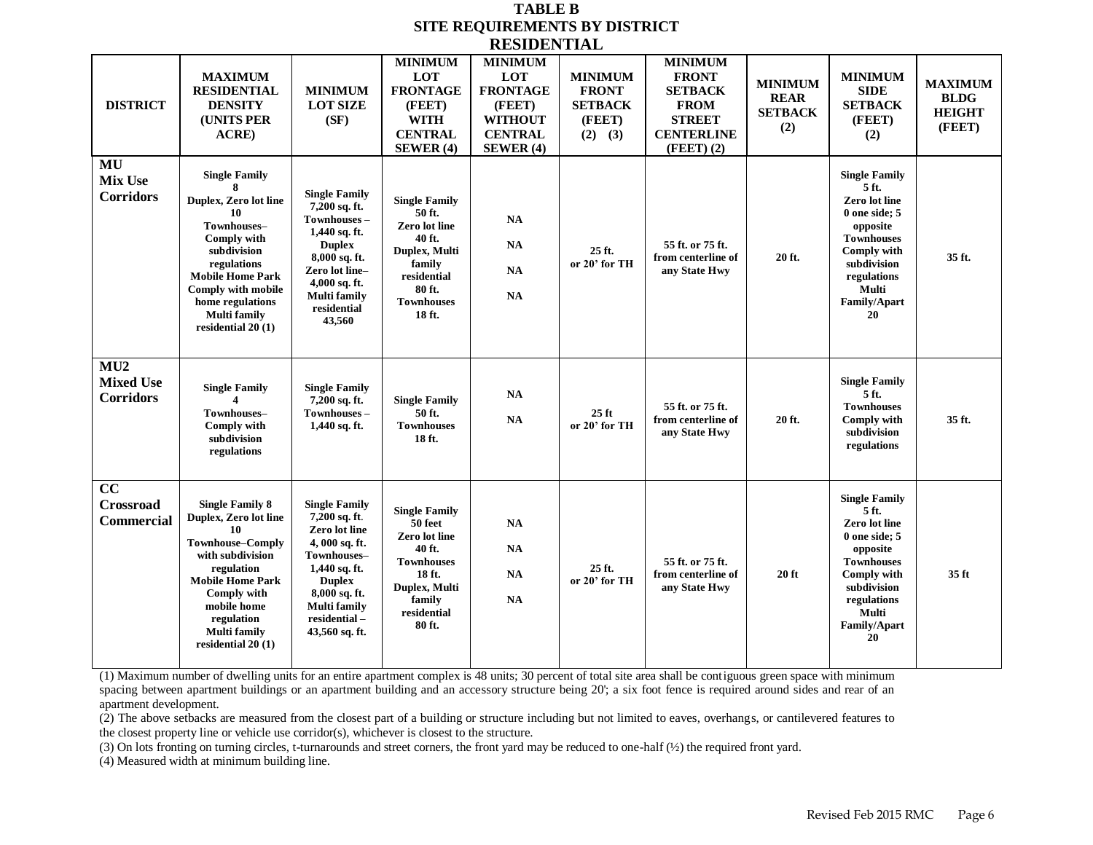#### **TABLE B SITE REQUIREMENTS BY DISTRICT RESIDENTIAL**

| <b>DISTRICT</b>                                   | <b>MAXIMUM</b><br><b>RESIDENTIAL</b><br><b>DENSITY</b><br>(UNITS PER<br>ACRE)                                                                                                                                                          | <b>MINIMUM</b><br><b>LOT SIZE</b><br>(SF)                                                                                                                                                          | <b>MINIMUM</b><br><b>LOT</b><br><b>FRONTAGE</b><br>(FEET)<br><b>WITH</b><br><b>CENTRAL</b><br>SEWER(4)                                        | <b>MINIMUM</b><br>LOT<br><b>FRONTAGE</b><br>(FEET)<br><b>WITHOUT</b><br><b>CENTRAL</b><br><b>SEWER</b> (4) | <b>MINIMUM</b><br><b>FRONT</b><br><b>SETBACK</b><br>(FEET)<br>$(2)$ $(3)$ | <b>MINIMUM</b><br><b>FRONT</b><br><b>SETBACK</b><br><b>FROM</b><br><b>STREET</b><br><b>CENTERLINE</b><br>$(FEET)$ $(2)$ | <b>MINIMUM</b><br><b>REAR</b><br><b>SETBACK</b><br>(2) | <b>MINIMUM</b><br><b>SIDE</b><br><b>SETBACK</b><br>(FEET)<br>(2)                                                                                                                                      | <b>MAXIMUM</b><br><b>BLDG</b><br><b>HEIGHT</b><br>(FEET) |
|---------------------------------------------------|----------------------------------------------------------------------------------------------------------------------------------------------------------------------------------------------------------------------------------------|----------------------------------------------------------------------------------------------------------------------------------------------------------------------------------------------------|-----------------------------------------------------------------------------------------------------------------------------------------------|------------------------------------------------------------------------------------------------------------|---------------------------------------------------------------------------|-------------------------------------------------------------------------------------------------------------------------|--------------------------------------------------------|-------------------------------------------------------------------------------------------------------------------------------------------------------------------------------------------------------|----------------------------------------------------------|
| MU<br><b>Mix Use</b><br><b>Corridors</b>          | <b>Single Family</b><br>8<br>Duplex, Zero lot line<br>10<br>Townhouses-<br>Comply with<br>subdivision<br>regulations<br><b>Mobile Home Park</b><br>Comply with mobile<br>home regulations<br><b>Multi family</b><br>residential 20 (1) | <b>Single Family</b><br>7,200 sq. ft.<br>Townhouses-<br>$1,440$ sq. ft.<br><b>Duplex</b><br>8,000 sq. ft.<br>Zero lot line-<br>4,000 sq. ft.<br><b>Multi family</b><br>residential<br>43,560       | <b>Single Family</b><br>50 ft.<br>Zero lot line<br>40 ft.<br>Duplex, Multi<br>family<br>residential<br>80 ft.<br><b>Townhouses</b><br>18 ft.  | NA<br>NA<br><b>NA</b><br>NA                                                                                | 25 ft.<br>or 20' for TH                                                   | 55 ft. or 75 ft.<br>from centerline of<br>any State Hwy                                                                 | 20 ft.                                                 | <b>Single Family</b><br>5 ft.<br><b>Zero lot line</b><br>$0$ one side; $5$<br>opposite<br><b>Townhouses</b><br><b>Comply with</b><br>subdivision<br>regulations<br>Multi<br><b>Family/Apart</b><br>20 | 35 ft.                                                   |
| MU2<br><b>Mixed Use</b><br><b>Corridors</b>       | <b>Single Family</b><br>Townhouses-<br><b>Comply with</b><br>subdivision<br>regulations                                                                                                                                                | <b>Single Family</b><br>$7,200$ sq. ft.<br>Townhouses -<br>$1,440$ sq. ft.                                                                                                                         | <b>Single Family</b><br>50 ft.<br><b>Townhouses</b><br>18 ft.                                                                                 | <b>NA</b><br>NA                                                                                            | $25$ ft<br>or 20' for TH                                                  | 55 ft. or 75 ft.<br>from centerline of<br>any State Hwy                                                                 | 20 ft.                                                 | <b>Single Family</b><br>5 ft.<br><b>Townhouses</b><br>Comply with<br>subdivision<br>regulations                                                                                                       | 35 ft.                                                   |
| $\overline{cc}$<br>Crossroad<br><b>Commercial</b> | <b>Single Family 8</b><br>Duplex, Zero lot line<br>10<br><b>Townhouse-Comply</b><br>with subdivision<br>regulation<br><b>Mobile Home Park</b><br>Comply with<br>mobile home<br>regulation<br>Multi family<br>residential 20 (1)        | <b>Single Family</b><br>7,200 sq. ft.<br>Zero lot line<br>4,000 sq. ft.<br>Townhouses-<br>1,440 sq. ft.<br><b>Duplex</b><br>8,000 sq. ft.<br><b>Multi family</b><br>residential-<br>43,560 sq. ft. | <b>Single Family</b><br>50 feet<br>Zero lot line<br>40 ft.<br><b>Townhouses</b><br>18 ft.<br>Duplex, Multi<br>family<br>residential<br>80 ft. | NA<br>$\mathbf{NA}$<br>NA<br>NA                                                                            | 25 ft.<br>or 20' for TH                                                   | 55 ft. or 75 ft.<br>from centerline of<br>any State Hwy                                                                 | $20$ ft                                                | <b>Single Family</b><br>5 ft.<br>Zero lot line<br>$0$ one side; $5$<br>opposite<br><b>Townhouses</b><br><b>Comply with</b><br>subdivision<br>regulations<br>Multi<br><b>Family/Apart</b><br>20        | 35 <sub>ft</sub>                                         |

(1) Maximum number of dwelling units for an entire apartment complex is 48 units; 30 percent of total site area shall be contiguous green space with minimum spacing between apartment buildings or an apartment building and an accessory structure being 20'; a six foot fence is required around sides and rear of an apartment development.

 $(2)$  The above setbacks are measured from the closest part of a building or structure including but not limited to eaves, overhangs, or cantilevered features to the closest property line or vehicle use corridor(s), whichever is closest to the structure.

(3) On lots fronting on turning circles, t-turnarounds and street corners, the front yard may be reduced to one-half (½) the required front yard.

(4) Measured width at minimum building line.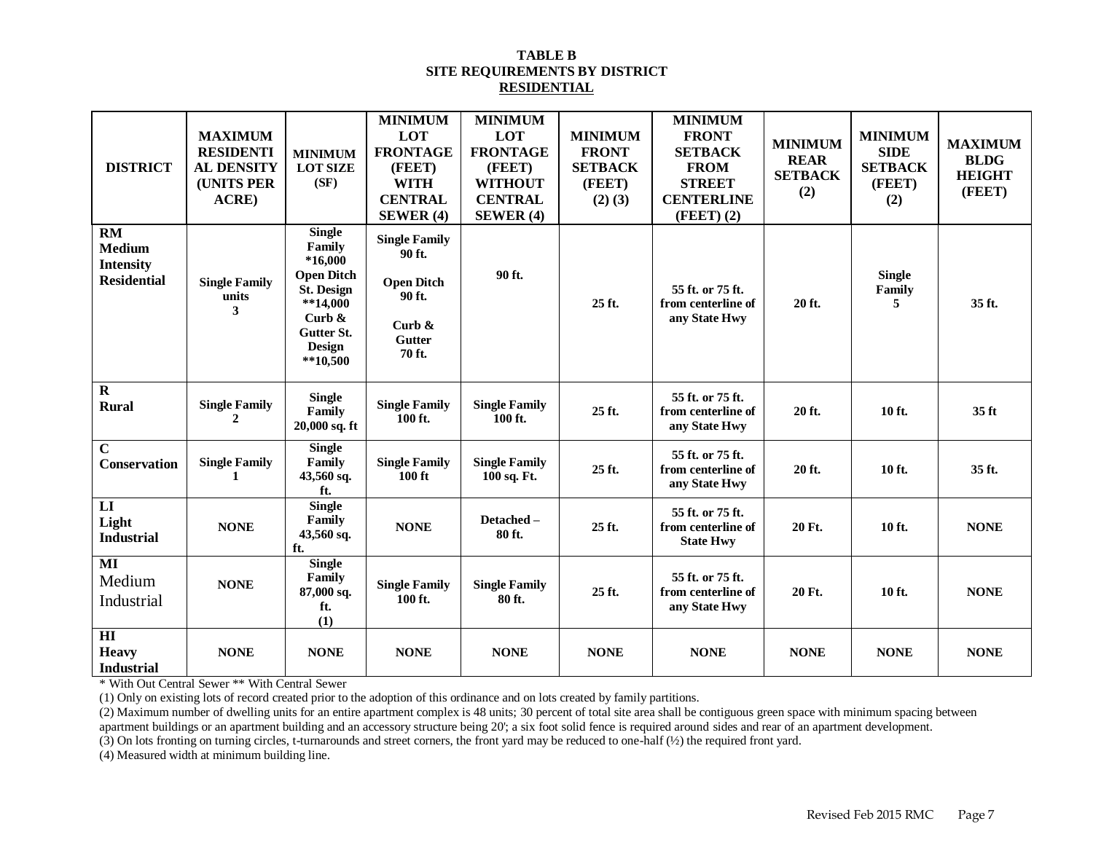#### **TABLE B SITE REQUIREMENTS BY DISTRICT RESIDENTIAL**

| <b>DISTRICT</b>                                                      | <b>MAXIMUM</b><br><b>RESIDENTI</b><br><b>AL DENSITY</b><br><b>(UNITS PER</b><br>ACRE) | <b>MINIMUM</b><br><b>LOT SIZE</b><br>(SF)                                                                                                              | <b>MINIMUM</b><br>LOT<br><b>FRONTAGE</b><br>(FEET)<br><b>WITH</b><br><b>CENTRAL</b><br><b>SEWER</b> (4) | <b>MINIMUM</b><br>LOT<br><b>FRONTAGE</b><br>(FEET)<br><b>WITHOUT</b><br><b>CENTRAL</b><br><b>SEWER</b> (4) | <b>MINIMUM</b><br><b>FRONT</b><br><b>SETBACK</b><br>(FEET)<br>$(2)$ $(3)$ | <b>MINIMUM</b><br><b>FRONT</b><br><b>SETBACK</b><br><b>FROM</b><br><b>STREET</b><br><b>CENTERLINE</b><br>$(FEET)$ $(2)$ | <b>MINIMUM</b><br><b>REAR</b><br><b>SETBACK</b><br>(2) | <b>MINIMUM</b><br><b>SIDE</b><br><b>SETBACK</b><br>(FEET)<br>(2) | <b>MAXIMUM</b><br><b>BLDG</b><br><b>HEIGHT</b><br>(FEET) |
|----------------------------------------------------------------------|---------------------------------------------------------------------------------------|--------------------------------------------------------------------------------------------------------------------------------------------------------|---------------------------------------------------------------------------------------------------------|------------------------------------------------------------------------------------------------------------|---------------------------------------------------------------------------|-------------------------------------------------------------------------------------------------------------------------|--------------------------------------------------------|------------------------------------------------------------------|----------------------------------------------------------|
| <b>RM</b><br><b>Medium</b><br><b>Intensity</b><br><b>Residential</b> | <b>Single Family</b><br>units<br>3                                                    | <b>Single</b><br>Family<br>$*16,000$<br><b>Open Ditch</b><br><b>St. Design</b><br>$**14,000$<br>Curb $\&$<br>Gutter St.<br><b>Design</b><br>$**10.500$ | <b>Single Family</b><br>90 ft.<br><b>Open Ditch</b><br>90 ft.<br>Curb $\&$<br><b>Gutter</b><br>70 ft.   | 90 ft.                                                                                                     | 25 ft.                                                                    | 55 ft. or 75 ft.<br>from centerline of<br>any State Hwy                                                                 | 20 ft.                                                 | <b>Single</b><br>Family<br>5.                                    | 35 ft.                                                   |
| $\overline{\mathbf{R}}$<br><b>Rural</b>                              | <b>Single Family</b><br>2                                                             | <b>Single</b><br>Family<br>$20,000$ sq. ft                                                                                                             | <b>Single Family</b><br>100 ft.                                                                         | <b>Single Family</b><br>100 ft.                                                                            | 25 ft.                                                                    | 55 ft. or 75 ft.<br>from centerline of<br>any State Hwy                                                                 | 20 ft.                                                 | 10 ft.                                                           | 35 <sub>ft</sub>                                         |
| $\overline{c}$<br><b>Conservation</b>                                | <b>Single Family</b><br>1                                                             | <b>Single</b><br>Family<br>$43,560$ sq.<br>ft.                                                                                                         | <b>Single Family</b><br>$100$ ft                                                                        | <b>Single Family</b><br>100 sq. Ft.                                                                        | 25 ft.                                                                    | 55 ft. or 75 ft.<br>from centerline of<br>any State Hwy                                                                 | 20 ft.                                                 | 10 ft.                                                           | 35 ft.                                                   |
| $\mathbf{L}\mathbf{I}$<br>Light<br><b>Industrial</b>                 | <b>NONE</b>                                                                           | <b>Single</b><br>Family<br>43,560 sq.<br>ft.                                                                                                           | <b>NONE</b>                                                                                             | Detached-<br>80 ft.                                                                                        | 25 ft.                                                                    | 55 ft. or 75 ft.<br>from centerline of<br><b>State Hwy</b>                                                              | 20 Ft.                                                 | 10 ft.                                                           | <b>NONE</b>                                              |
| MI<br>Medium<br>Industrial                                           | <b>NONE</b>                                                                           | <b>Single</b><br>Family<br>87,000 sq.<br>ft.<br>(1)                                                                                                    | <b>Single Family</b><br>100 ft.                                                                         | <b>Single Family</b><br>80 ft.                                                                             | 25 ft.                                                                    | 55 ft. or 75 ft.<br>from centerline of<br>any State Hwy                                                                 | 20 Ft.                                                 | 10 ft.                                                           | <b>NONE</b>                                              |
| $\mathbf{H}$<br><b>Heavy</b><br><b>Industrial</b>                    | <b>NONE</b>                                                                           | <b>NONE</b>                                                                                                                                            | <b>NONE</b>                                                                                             | <b>NONE</b>                                                                                                | <b>NONE</b>                                                               | <b>NONE</b>                                                                                                             | <b>NONE</b>                                            | <b>NONE</b>                                                      | <b>NONE</b>                                              |

\* With Out Central Sewer \*\* With Central Sewer

(1) Only on existing lots of record created prior to the adoption of this ordinance and on lots created by family partitions.

 $(2)$  Maximum number of dwelling units for an entire apartment complex is 48 units; 30 percent of total site area shall be contiguous green space with minimum spacing between apartment buildings or an apartment building and an accessory structure being 20'; a six foot solid fence is required around sides and rear of an apartment development.

(3) On lots fronting on turning circles, t-turnarounds and street corners, the front yard may be reduced to one-half (½) the required front yard.

(4) Measured width at minimum building line.